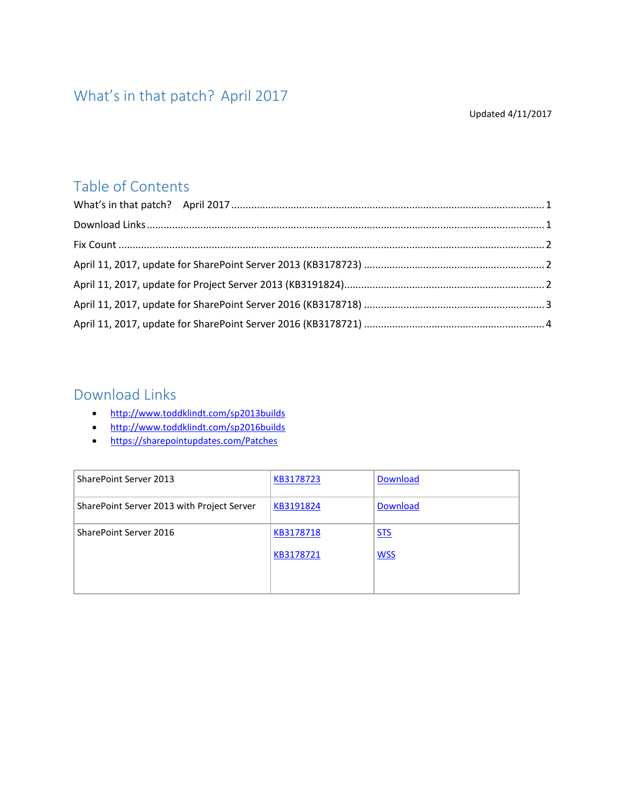# <span id="page-0-0"></span>What's in that patch? April 2017

#### Updated 4/11/2017

### Table of Contents

### <span id="page-0-1"></span>Download Links

- <http://www.toddklindt.com/sp2013builds>
- <http://www.toddklindt.com/sp2016builds>
- <https://sharepointupdates.com/Patches>

| SharePoint Server 2013                     | KB3178723 | Download        |
|--------------------------------------------|-----------|-----------------|
| SharePoint Server 2013 with Project Server | KB3191824 | <b>Download</b> |
| SharePoint Server 2016                     | KB3178718 | <b>STS</b>      |
|                                            | KB3178721 | <b>WSS</b>      |
|                                            |           |                 |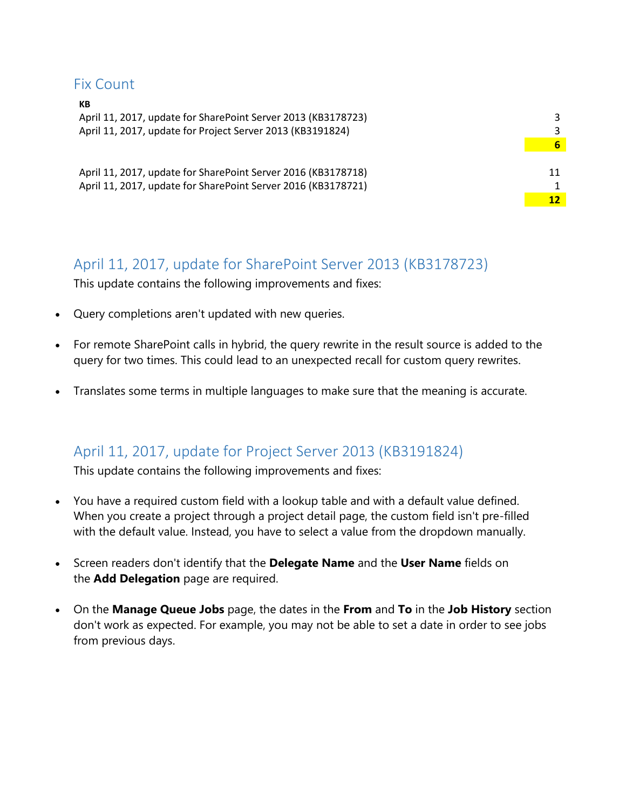### <span id="page-1-0"></span>Fix Count

 $\mathbf{f}$ 

| кв<br>April 11, 2017, update for SharePoint Server 2013 (KB3178723)<br>April 11, 2017, update for Project Server 2013 (KB3191824) |   |
|-----------------------------------------------------------------------------------------------------------------------------------|---|
|                                                                                                                                   | 6 |
|                                                                                                                                   |   |
| April 11, 2017, update for SharePoint Server 2016 (KB3178718)                                                                     |   |
| April 11, 2017, update for SharePoint Server 2016 (KB3178721)                                                                     |   |
|                                                                                                                                   |   |
|                                                                                                                                   |   |

### <span id="page-1-1"></span>April 11, 2017, update for SharePoint Server 2013 (KB3178723)

This update contains the following improvements and fixes:

- Query completions aren't updated with new queries.
- For remote SharePoint calls in hybrid, the query rewrite in the result source is added to the query for two times. This could lead to an unexpected recall for custom query rewrites.
- Translates some terms in multiple languages to make sure that the meaning is accurate.

### <span id="page-1-2"></span>April 11, 2017, update for Project Server 2013 (KB3191824)

This update contains the following improvements and fixes:

- You have a required custom field with a lookup table and with a default value defined. When you create a project through a project detail page, the custom field isn't pre-filled with the default value. Instead, you have to select a value from the dropdown manually.
- Screen readers don't identify that the **Delegate Name** and the **User Name** fields on the **Add Delegation** page are required.
- On the **Manage Queue Jobs** page, the dates in the **From** and **To** in the **Job History** section don't work as expected. For example, you may not be able to set a date in order to see jobs from previous days.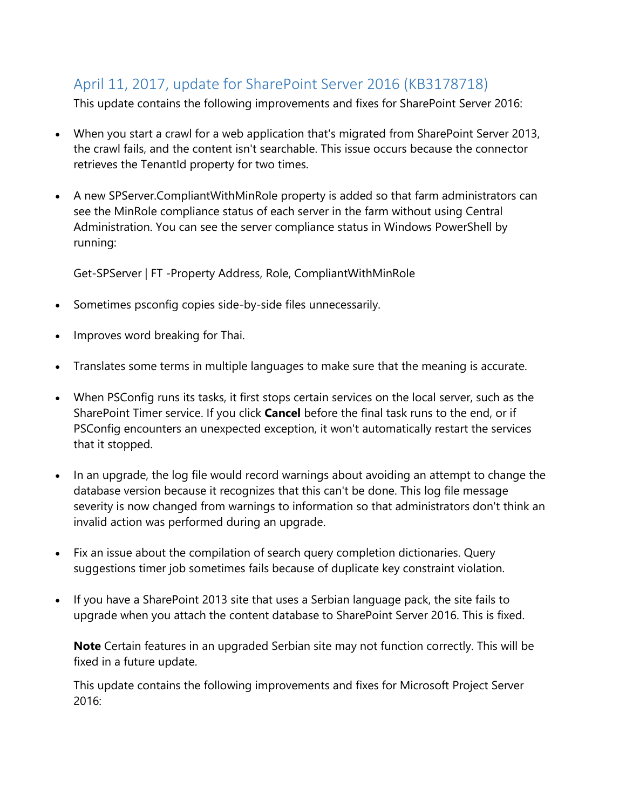### <span id="page-2-0"></span>April 11, 2017, update for SharePoint Server 2016 (KB3178718)

This update contains the following improvements and fixes for SharePoint Server 2016:

- When you start a crawl for a web application that's migrated from SharePoint Server 2013, the crawl fails, and the content isn't searchable. This issue occurs because the connector retrieves the TenantId property for two times.
- A new SPServer.CompliantWithMinRole property is added so that farm administrators can see the MinRole compliance status of each server in the farm without using Central Administration. You can see the server compliance status in Windows PowerShell by running:

Get-SPServer | FT -Property Address, Role, CompliantWithMinRole

- Sometimes psconfig copies side-by-side files unnecessarily.
- Improves word breaking for Thai.
- Translates some terms in multiple languages to make sure that the meaning is accurate.
- When PSConfig runs its tasks, it first stops certain services on the local server, such as the SharePoint Timer service. If you click **Cancel** before the final task runs to the end, or if PSConfig encounters an unexpected exception, it won't automatically restart the services that it stopped.
- In an upgrade, the log file would record warnings about avoiding an attempt to change the database version because it recognizes that this can't be done. This log file message severity is now changed from warnings to information so that administrators don't think an invalid action was performed during an upgrade.
- Fix an issue about the compilation of search query completion dictionaries. Query suggestions timer job sometimes fails because of duplicate key constraint violation.
- If you have a SharePoint 2013 site that uses a Serbian language pack, the site fails to upgrade when you attach the content database to SharePoint Server 2016. This is fixed.

**Note** Certain features in an upgraded Serbian site may not function correctly. This will be fixed in a future update.

This update contains the following improvements and fixes for Microsoft Project Server 2016: